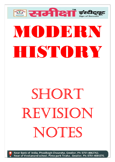## **MODERN** HISTORY

ैं समीक्षा इं

## SHORT REVISION NOTES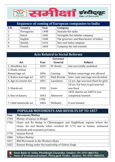

| Sequence of coming of European companies to India |            |      |                                        |  |  |  |
|---------------------------------------------------|------------|------|----------------------------------------|--|--|--|
| <b>S.N.</b>                                       | Country    | Year | Company                                |  |  |  |
|                                                   | Portuguese | 1498 | Dastado-the India                      |  |  |  |
|                                                   | Dutch      | 1602 | Veringide Ost Indishe company          |  |  |  |
| 3                                                 | English    | 1600 | The governor and Manchester of Indies. |  |  |  |
|                                                   | Danish     | 1616 | Den east India company                 |  |  |  |
|                                                   | French     | 1664 | Company the Ind oriental               |  |  |  |

| <b>Acts Related to Social Reforms</b> |       |             |                                     |  |  |  |
|---------------------------------------|-------|-------------|-------------------------------------|--|--|--|
|                                       |       | Governor    |                                     |  |  |  |
| Act                                   | Year  | General     | <b>Subject</b>                      |  |  |  |
| 1. Absolition Act                     | 1829  | W. Bentic   | Sati was totally asolished          |  |  |  |
| 2. Hindu widow                        |       |             |                                     |  |  |  |
| Remarriage act                        | 1856  | Canning     | Widow remarriage was allowed        |  |  |  |
| 3. Native marriage act                | 1872  | Nath Brooke | Inter caste marriage was fermited   |  |  |  |
| 4. Age of consent Act                 | 1891  | Lansdown    | 12 yrs. Age was now fixed for girls |  |  |  |
|                                       |       |             | 18 yrs. For boys to get married     |  |  |  |
| 5. Sharda act                         | 1930  | Irwin       | was fixed                           |  |  |  |
|                                       |       |             | 1833 charter act 1843 it was        |  |  |  |
| 6. Ban of slauery                     | 1843  | Allensrow   | completely banned                   |  |  |  |
|                                       | 1785- |             |                                     |  |  |  |
| 7. Child infasticide act              | 1804  | Wellejely   | It was banned                       |  |  |  |

|      | <b>POPULAR MOVEMENTS AND REVOLTS UP TO 1857</b>                       |
|------|-----------------------------------------------------------------------|
| Year | <b>Movement/Mutiny</b>                                                |
| 1764 | Mutiny of sepoys in Bengal                                            |
| 1766 | Chuar and Ro Rising in Chhotanagpur and Singhbhum regions where the   |
|      | Chaur, Ho and Munda tribes revolted till 1772 due to famine, enhanced |
|      | demands and economic privation.                                       |
| 1770 | Sanyasi Revolt                                                        |
| 1806 | <b>Vellore Mutiny</b>                                                 |
| 1817 | <b>Bhil Movement in the Western Ghats</b>                             |
| 1822 | Ramosi Rising under the leadership of Chittar Singh                   |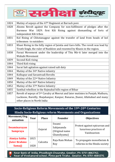

| 1824 | Mutiny of sepoys of the 47 <sup>th</sup> Regiment at Barrack pore                  |
|------|------------------------------------------------------------------------------------|
| 1828 | Ahoms Revolt against the Company for non-fulfilment of pledges after the           |
|      | Burmese War 1829. first Kili Rising against dismantling of forts of                |
|      | independent Kili tribes                                                            |
| 1831 | Kol Rising of Chhotanagpur against the transfer of land from heads of kol          |
|      | tribesmen to outsiders                                                             |
| 1833 | Khasi Rising in the hilly region of Jaintia and Garo hills. The revolt was lead by |
|      | Tirath Singh, the ruler of Nunklow and resented by Khasis in the region.           |
| 1838 | Farazi Movement under the leadership of Titu Mir-it later merged into the          |
|      | Wahabi Movement                                                                    |
| 1839 | Second-Koli rising                                                                 |
| 1844 | Third Koli rising                                                                  |
| 1844 | Surat Salt agitation against raised salt duty                                      |
| 1844 | Mutiny of the 34 <sup>th</sup> Native infantry                                     |
| 1844 | Kolhapur and Savantvadi Revolts                                                    |
| 1849 | Mutiny of the 22 <sup>nd</sup> Native Infantry                                     |
| 1850 | Mutiny of the 66 <sup>th</sup> Native Infantry                                     |
| 1852 | Mutiny of the 37 <sup>th</sup> Native Infantry                                     |
| 1855 | Santhal rebellion in the Rajmahal hills region of Bihar                            |
| 1857 | Revolt of sepoys of 3rd Cavalry at Meerut and later mutinies in Punjab, Mathura,   |
|      | Lucknow, Bareilly, Shajahanpur, Kanpur, Banaras, Jhansi, Allahabad and many        |
|      | other places in North India                                                        |

## Socio-Religious Reform Movements of the 19th-20th Centuries Hindu Socio-Religious reform Movements and Organizations

| Movement/Org<br>anisation                              | Year                           | <b>Place</b> | <b>Founder</b>                                       | <b>Objectives</b>                                                      |
|--------------------------------------------------------|--------------------------------|--------------|------------------------------------------------------|------------------------------------------------------------------------|
| <b>Swaminarayan</b><br><b>Sampraya</b>                 |                                | Gujarat      | Swami<br>Sahjananda<br>(Original name<br>Ghanshyama) | Protest against epicurean and<br>luxurious practices of<br>Vaishnavism |
| <b>Atmiya Sabha</b><br><b>(later Brahmo)</b><br>Samaj) | 1815<br>$\blacksquare$<br>1828 | Calcutta     | Raja Ram Mohan<br>Roy                                | To propagate monotheism &<br>reforms in the Hindu society              |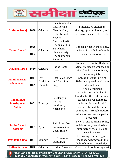

| <b>Brahmo Samaj</b>                                   | 1828         | Calcutta                             | Raja Ram Mohan<br>Roy, Keshab<br>Chandra Sen,<br>Debenbranath<br><b>Tagore</b>              | Emphasized on human<br>dignity, opposed idolatry and<br>criticized social evils as sati                                                                                                                                                           |
|-------------------------------------------------------|--------------|--------------------------------------|---------------------------------------------------------------------------------------------|---------------------------------------------------------------------------------------------------------------------------------------------------------------------------------------------------------------------------------------------------|
| <b>Young Bengal</b>                                   | 1826<br>1832 | Calcutta                             | Derozio, Rasik<br>Krishna Mullik,<br>Tarachand<br>Chuckervarty,<br>Krishnamohan<br>Banerjee | Opposed vices in the society,<br>believed in truth, freedom, &<br>reason; social reform.                                                                                                                                                          |
| <b>Dharma Sabha</b>                                   | 1830         | Calcutta                             | Radha Kanta<br>Deva                                                                         | <b>Founded to counter Brahmo</b><br>Samaj Movement Opposed to<br>liberal and radical reforms,<br>including Sati.                                                                                                                                  |
| Namdhari/Kuk<br>a Movement                            | 1841<br>1871 | <b>NWF</b><br>(Ludhiana<br>, Punjab) | <b>Bhai Balak Singh</b><br>and Baba Ram<br>Singh                                            | Spread the true Spirit of<br>Sikhism, opposed to all caste<br>distinctions.                                                                                                                                                                       |
| <b>Rahanumai</b><br><b>Mazdayasan</b><br><b>Sabha</b> | 1851         | <b>Bombay</b>                        | S.S. Bangali,<br>Naoroji,<br>Fundonji, J.B.<br>Nacha, etc.                                  | A socio-religious<br>organization of the Parsis<br>founded for the restoration of<br>Zoroastrian religion to its<br>pristine glory and social<br>regeneration of the Parsi<br>community through modern<br>education and emancipation<br>of women. |
| <b>Radha Swami</b><br><b>Satsang</b>                  | 1861         | Agra                                 | Tulsi Ram also<br>known as Shiv<br>Dayal Saheb                                              | Belief in one Supreme Being,<br>religious unity, emphasis on<br>simplicity of social life and<br>social service.                                                                                                                                  |
| <b>Prathana Samaj</b>                                 | 1867         | <b>Bombay</b>                        | Dr. Atmaram<br>Pandurang                                                                    | Reforming Hindu religious<br>thought and practice in the<br>light of modern knowledge.                                                                                                                                                            |
| <b>Indian Reform</b>                                  | 1870         | Calcutta                             | Keshab Chandra                                                                              | Create public opinion against                                                                                                                                                                                                                     |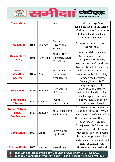

| <b>Association</b>     |      |               | Sen                             | child marriage & for                        |
|------------------------|------|---------------|---------------------------------|---------------------------------------------|
|                        |      |               |                                 | legalizing the Brahmo form of               |
|                        |      |               |                                 | (Civil) marriage. Promote the               |
|                        |      |               |                                 | intellectual and social status              |
|                        |      |               |                                 | of Indian women.                            |
| <b>Arya Samaj</b>      | 1875 | <b>Bombay</b> | Swami<br>Dayananda<br>Saraswati | To reform Hindu religion in<br>North India. |
|                        |      |               |                                 |                                             |
|                        |      |               | Madam H.P.                      | Advocated the revival &                     |
| <b>Theosophical</b>    | 1875 | New York      | Blavatsky & Col.                | strengthening of ancient                    |
| <b>Society</b>         |      |               | H.S., Olcott                    | religions of Hinduism,                      |
|                        |      |               |                                 | Zoroastrianism & Buddhism                   |
|                        |      |               |                                 | To contribute to the cause of               |
| <b>Deccan</b>          |      |               | M.G. Ranade, V.G.               | education and culture in                    |
| <b>Education</b>       | 1884 | Pune          | Chibdonkar, G.G.                | Western India. The society                  |
| <b>Society</b>         |      |               | Agarkar, etc.                   | founded the Ferguson                        |
|                        |      |               |                                 | College, Pune in 1885                       |
|                        |      |               |                                 | Campaign against child                      |
| <b>Seva Sadan</b>      | 1885 | <b>Bombay</b> | Behramji, M.<br>Malabari        | marriage and enforced                       |
|                        |      |               |                                 | widowhood and care for                      |
|                        |      |               |                                 | socially exploited women.                   |
| <b>Ramakrishna</b>     | 1887 | Calcutta      | Swami                           | To carry on humanitarian                    |
| <b>Mission</b>         |      |               | Vivekananda                     | relief and social work.                     |
| <b>Indian National</b> |      |               |                                 | To focus attention on matters               |
| <b>Social</b>          | 1887 | <b>Bombay</b> | M.G. Ranade and                 | relating to social reforms. It              |
| <b>Conference</b>      |      |               | Raghunath Rao                   | was the social reforms cell of              |
|                        |      |               |                                 | the Indian National Congress.               |
|                        |      |               |                                 | <b>Ideas Closer to Brahmo</b>               |
|                        |      |               |                                 | Samaj asked his followers to                |
|                        |      |               | Shiva Narain                    | follow social code of conduct               |
| Deva Samaj             | 1887 | Lahore        |                                 | and ethics, as not to accept                |
|                        |      |               | Agnihotri                       | bribe, indulge in gambling                  |
|                        |      |               |                                 | and consume intoxicants and                 |
|                        |      |               |                                 | non-vegetarian food.                        |
| <b>Madras Hindu</b>    | 1892 | Madras        | Viresalingam                    | Movement concerned with                     |
|                        |      |               |                                 |                                             |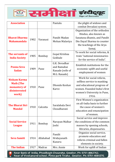

| <b>Association</b>     |      |               | Pantalu                         | the plight of widows and                          |
|------------------------|------|---------------|---------------------------------|---------------------------------------------------|
|                        |      |               |                                 | combat Devadasi system.                           |
|                        |      |               |                                 | Organization of the orthodox                      |
|                        |      |               |                                 | Hindus, also known as                             |
| <b>Bharat Dharma</b>   | 1902 | Varanasi      | Pandit Madan                    | Sanatana dhamis, and Pandit                       |
| <b>Mahamandala</b>     |      |               | Mohan Malaviya                  | Din Dayal Sharma to counter                       |
|                        |      |               |                                 | the teachings of the Arya                         |
|                        |      |               |                                 | Samaj.                                            |
| The servants of        |      |               | Gopal Krishna                   | To work for social reforms, &                     |
| <b>India Society</b>   | 1905 | <b>Bombay</b> | Gokhale                         | train "national missionaries                      |
|                        |      |               |                                 | for the service of India".                        |
|                        |      |               | G.K. Devadhar                   | Establish institutions for the                    |
| <b>Poona Seva</b>      | 1909 | Pune          | and Ramabai                     | economic uplift and useful<br>employment of women |
| <b>Sadan</b>           |      |               | Ranade (wife of<br>M.G. Ranade) |                                                   |
|                        |      |               |                                 | Work for social reform,                           |
| <b>Niskam Karma</b>    |      |               |                                 | selfless service to manking                       |
| <b>Math (The</b>       |      |               | Dhondo Keshav                   | and educational progress of                       |
| monastery of           | 1910 | Pune          | Karve                           | women. Founded India's first                      |
| disinterested          |      |               |                                 | women's University in Pune,                       |
| work)                  |      |               |                                 | 1916.                                             |
|                        |      |               |                                 | First Women's organization                        |
| <b>The Bharat Stri</b> |      | Calcutta      | Saralabala Devi<br>Choudharani  | on all-India basis to further                     |
| <b>Mandal</b>          | 1910 |               |                                 | the cause of women's                              |
|                        |      |               |                                 | education and emancipation                        |
|                        |      |               |                                 | of women.                                         |
|                        |      |               |                                 | Social service and improve                        |
| <b>Social Service</b>  | 1911 | <b>Bombay</b> | Narayan Malhar                  | the conditions of the common                      |
| <b>League</b>          |      |               | Joshi                           | masses by opening schools,                        |
|                        |      |               |                                 | libraries, dispensaries.                          |
|                        |      |               | Pandit                          | Organize social service,                          |
| <b>Seva Samiti</b>     | 1914 | Allahabad     | Hridayanath                     | promote education and                             |
|                        |      |               | Kunzru                          | reform criminal and fallen                        |
|                        | 1917 | Madras        | Mrs. Annie                      | elements in society.                              |
| <b>The Indian</b>      |      |               |                                 | Work for uplift of Indian                         |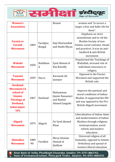

| <b>Women's</b>                    |       |           | <b>Besant</b>          | women and "to secure a                                |
|-----------------------------------|-------|-----------|------------------------|-------------------------------------------------------|
| <b>Association</b>                |       |           |                        | larger a free and fuller life for                     |
|                                   |       |           |                        | them".                                                |
|                                   |       |           |                        | Emphasis on strict                                    |
|                                   |       |           |                        | monotheism and to rid the                             |
| <b>Faraizi or</b>                 |       | Faridpur, | Haji Shariatullah      | Muslim Society of non-                                |
| <b>Faraidi</b>                    | 1804  | Bengal    | and Dudhi Miyan        | Islamic social customs, rituals                       |
| <b>Movement</b>                   |       |           |                        | and practices. It was an anti-                        |
|                                   |       |           |                        | landlord & anti-British                               |
|                                   |       |           |                        | movement.                                             |
|                                   |       |           |                        | Popularized the Teachings of                          |
| <b>Wahabi</b>                     | 1820  | Rohikhan  | Syed Ahmed of          | Waliullah; stressed role of                           |
| <b>Movement</b>                   |       | d         | Rae Bareilly           | individual conscience in                              |
|                                   |       |           |                        | religion.                                             |
| <b>Taayuni</b>                    |       |           | Karamati Ali           | Opposed to the Faraizi                                |
| <b>Movement</b>                   | 1839  | Dacca     | Jaunpur                | Movment and supported the                             |
|                                   |       |           |                        | British rule.                                         |
| <b>Deoband</b>                    |       |           |                        |                                                       |
| <b>Movement</b> (A                |       |           |                        | Improve the spiritual and                             |
| school of                         |       |           | Muhamman               | moral conditions of Indian                            |
| <b>Islamic</b>                    | 1867  | Deoband   | Qasim Nanautavi        | Muslim. It supported the INC                          |
| <b>Theology at</b>                |       |           | and Rashid             | and was opposed to the Pro-                           |
| Deoband,                          |       |           | Ahmed Gangohi          | British Aligarh movement.                             |
| Saharanpur,                       |       |           |                        |                                                       |
| UP)                               |       |           |                        | Liberalization of Indian Islam                        |
|                                   |       |           |                        | and modernization of Indian                           |
|                                   |       |           |                        |                                                       |
| <b>Aligarh</b><br><b>Movement</b> | 1875  | Aligarh   | Sir Syed Ahmed<br>Khan | Muslims through religious<br>reinterpretation, social |
|                                   |       |           |                        | reform and modern                                     |
|                                   |       |           |                        | education.                                            |
|                                   |       |           |                        | Universal religion of all                             |
| <b>Ahmadiya</b>                   | 1889  |           | Mirza Ghulam           | humanity, opposed to Islamic                          |
| <b>Movement</b>                   | $-90$ | Faridkot  | Ahmad of               | Orthodoxy and spread of                               |
|                                   |       |           | Qadiyan                | western liberal education                             |
|                                   |       |           |                        |                                                       |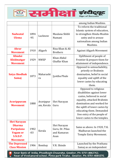

|                                      |                 |               |                                    | among Indian Muslims.           |
|--------------------------------------|-----------------|---------------|------------------------------------|---------------------------------|
|                                      |                 |               |                                    | To reform the traditional       |
|                                      |                 |               |                                    | Islamic system of education,    |
| <b>Nadwatal</b>                      | 1894            | Lucknow       | Maulana Shibli                     | to strengthen Hindu-Muslim      |
| <b>Ulema</b>                         | $-95$           |               | Numani                             | unity and to arouse             |
|                                      |                 |               |                                    | nationalism among Indian        |
|                                      |                 |               |                                    | Muslims.                        |
| <b>Ahrar</b><br><b>Movement</b>      | 1910            | Aligarh       | Riza Khan & Ali<br><b>Brothers</b> | <b>Against Aligarh Movement</b> |
| <b>Khudai</b>                        |                 |               | Khan Abdul                         | Upliftment of people of         |
| <b>Khidmatgar</b>                    | 1929            | <b>NWEP</b>   | Ghaffar Khan                       | Frontier & prepare them for     |
| <b>Movement</b>                      |                 |               |                                    | attainment of independence.     |
|                                      |                 |               |                                    | Opposed to untouchability,      |
|                                      |                 |               | Jyotiba Phule                      | priestly or Brahmin             |
| <b>Satya Shodhak</b>                 | 1873            | Maharasht     |                                    | domination, belief in social    |
| <b>Samaj</b>                         |                 | ra            |                                    | equality and uplift of the      |
|                                      |                 |               |                                    | lower castes by educating       |
|                                      |                 |               |                                    | them.                           |
|                                      |                 |               |                                    | Opposed to religious            |
|                                      |                 |               | Shri Narayan<br>Guru               | disabilities against lower      |
|                                      |                 |               |                                    | castes, believed in social      |
| <b>Aravippuram</b>                   |                 | Aravippur     |                                    | equality, attacked Brahmin      |
| <b>Movement</b>                      | 1888            | am, Kerala    |                                    | domination and worked for       |
|                                      |                 |               |                                    | the uplift of lower castes by   |
|                                      |                 |               |                                    | educating them. Demanded        |
|                                      |                 |               |                                    | free entry of the people of     |
|                                      |                 |               |                                    | lower castes to the temples.    |
| <b>Shri Narayan</b><br><b>Dharma</b> |                 |               |                                    |                                 |
| <b>Paripalana</b>                    | 1902            |               | Shri Narayan<br>Guru, Dr. Pilau    | Same as above. In 1920, T.K.    |
| <b>Yogam or</b>                      | Kerala<br>$-03$ |               | and Kumaran                        | Madhavan launched the           |
| <b>S.N.D.P.</b>                      |                 |               | Asan                               | Temple Entry Movement.          |
| <b>Movement</b>                      |                 |               |                                    |                                 |
| <b>The Depressed</b>                 |                 |               |                                    | Launched by the Prathana        |
| <b>Class Mission</b>                 | 1906            | <b>Bombay</b> | V.R. Shinde                        | Samaj as an independent         |
|                                      |                 |               |                                    |                                 |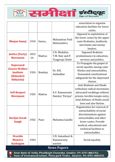

|                                                                    |       |               |                                     | association to organize         |
|--------------------------------------------------------------------|-------|---------------|-------------------------------------|---------------------------------|
|                                                                    |       |               |                                     | education facilities for lower  |
|                                                                    |       |               |                                     | castes.                         |
|                                                                    |       |               |                                     | Opposed to exploitation of      |
|                                                                    |       |               | Mukundrao Patil                     | the lower castes by the upper   |
| <b>Bhujan Samaj</b>                                                | 1910  | Satara,       | Maharashtra                         | caste Brahmins, landlords,      |
|                                                                    |       |               |                                     | merchants and money             |
|                                                                    |       |               |                                     | lenders.                        |
| <b>Justice (Party)</b>                                             | 1815  |               | C.N. Mudaliar,                      | Opposed Brahmin                 |
| <b>Movement</b>                                                    | $-16$ | Madras        | T.M. Nair and P.                    | predominance in education,      |
|                                                                    |       |               | Tyagaraja Chetti                    | services and politics.          |
| <b>Depressed</b>                                                   |       |               |                                     | To Propagate the gospel of      |
| <b>Classes Welfare</b>                                             |       |               |                                     | social equality among caste     |
| <b>Institute</b>                                                   | 1924  | <b>Bombay</b> | Dr. B.R.                            | Hindus and untouchables,        |
| (Bahaskrit                                                         |       |               | Ambedkar                            | Demanded constitutional         |
| Hitkarini)                                                         |       |               |                                     | safeguards for the depressed    |
|                                                                    |       |               |                                     | classes.                        |
|                                                                    |       |               |                                     | Anti-Brahmin and Hindu          |
|                                                                    | 1925  | Madras        | E.V. Ramaswami<br>Naicker 'Periyar' | orthodoxy radical movement,     |
| <b>Self-Respect</b>                                                |       |               |                                     | advocated weddings without      |
| <b>Movement</b>                                                    |       |               |                                     | priests, forcible temple entry, |
|                                                                    |       |               |                                     | total defiance of Hindu social  |
|                                                                    |       |               |                                     | laws and also theism.           |
|                                                                    |       |               |                                     | Organization for removal of     |
|                                                                    |       |               |                                     | untouchability of social        |
|                                                                    |       |               |                                     | discriminations against         |
| <b>Harijan Sevak</b>                                               | 1932  | Pune          | Mahatma Gandhi                      | untouchables and other          |
| <b>Sangh</b>                                                       |       |               |                                     | lower castes. Provide           |
|                                                                    |       |               |                                     | medical, educational and        |
|                                                                    |       |               |                                     | technical facilities to         |
|                                                                    |       |               |                                     | untouchables.                   |
| <b>Dravida</b>                                                     |       |               | C.N. Annaduari &                    |                                 |
| <b>Munetra</b>                                                     | 1944  |               | Ramaswamy                           | Social equality.                |
| <b>Kazhagam</b>                                                    |       |               | naicker                             |                                 |
|                                                                    |       |               | <b>News Papers</b>                  |                                 |
| Near Bank of India, Phoolbagh Chauraha, Gwalior, Ph: 0751-4062762, |       |               |                                     |                                 |

Near of Vivekanand school, Pinto park Tiraha , Gwalior, Ph: 0751-4084370,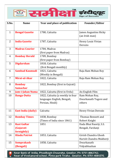

| S.No.          | <b>Name</b>               | Year and place of publication    | <b>Founder/Editor</b>        |
|----------------|---------------------------|----------------------------------|------------------------------|
|                |                           |                                  |                              |
| $\mathbf{1}$   | <b>Bengal Gazette</b>     | 1780, Calcutta                   | <b>James Augustins Hicky</b> |
|                |                           |                                  | (an Irish man)               |
| 2              | <b>India Gazette</b>      | 1787, Calcutta                   | Henry Louis Vivian           |
|                |                           |                                  | Derozio                      |
| 3              | <b>Madras Courier</b>     | 1784, Madras                     |                              |
|                |                           | (first paper from Madras)        |                              |
| 4              | <b>Bombay Herald</b>      | 1789, Bombay                     |                              |
|                |                           | (first paper from Bombay)        |                              |
| 5              | <b>Digdarshan</b>         | 1818, Calcutta                   |                              |
|                |                           | (first Bengali monthly)          |                              |
| 6              | <b>Sambad Kaumudi</b>     | 1821, Calcutta                   | Raja Ram Mohan Roy           |
|                |                           | (Weekly in Bengali)              |                              |
| $\overline{7}$ | Mirat-ul-Akar             | 1822, Calcutta                   | Raja Ram Mohan Roy           |
| 8              | <b>Bombay</b>             | 1822, Bombay (first in Gujrati)  |                              |
|                | <b>Samachar</b>           |                                  |                              |
| 9              | Jam-i-Jahan Numa          | 1822, Calcutta (first in Urdu)   | An English Film              |
| 10             | <b>Banga-Dutta</b>        | 1822, Calcutta (a weekly in four | Ram Mohan Roy,               |
|                |                           | languages English, Bengali,      | Dwarkanath Togore and        |
|                |                           | Persian, Hindi)                  | others                       |
|                |                           |                                  |                              |
| 11             | <b>East India (daily)</b> | Calcutta                         | Henry Vivian Derozio         |
| 12             | <b>Bombay Times</b>       | 1838, Bombay                     | Thomas Bennett and           |
|                |                           | (Times of India since 1861)      | Robert Knight                |
| 13             | <b>Rast Guftar</b>        | 1851                             | Dada Bhai Naoriji, S.S.      |
|                | (Gujarati                 |                                  | Bengali, Fardunji            |
|                | fornightly)               |                                  |                              |
| 14             | <b>Hindu Patriot</b>      | 1853, Calcutta                   | Girish Chandra Ghosh         |
|                |                           |                                  | Harish Chandra Mukherji      |
| 15             | <b>Somprakash</b>         | 1858, Calcutta                   | Dwarkanath                   |
|                | (Bengali)                 |                                  | Vidyabhushan                 |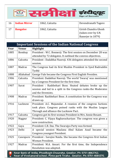

| 16 | <b>Indian Mirror</b> | 1862, Calcutta | Devendranath Tagore                                              |
|----|----------------------|----------------|------------------------------------------------------------------|
| 17 | <b>Bangalee</b>      | 1862, Calcutta | Girish Chandra Ghosh<br>(taken over by S.N.<br>Banerjer in 1879) |

|      |               | <b>Important Sessions of the Indian National Congress</b>        |
|------|---------------|------------------------------------------------------------------|
| Year | <b>Venue</b>  | <b>Highlight</b>                                                 |
| 1885 | <b>Bombay</b> | President : W.C. Bonnerji. The first session on December 28 was  |
|      |               | attended by 72 delegates. It outlined the conress objectives.    |
| 1886 | Calcutta      | President : Dadabhai Naoroji. 436 delegates attended the second  |
|      |               | session.                                                         |
| 1887 | Madras        | The Congress had its first Muslim President in Syed Badruddin    |
|      |               | Tyabji                                                           |
| 1888 | Allahabad     | George Yule became the Congress First English Presiden.          |
| 1906 | Calcutta      | President: Dadabhai Naoroji. The world 'Swaraj' was mentioned    |
|      |               | by a Congress President for the first time.                      |
| 1907 | Surat         | President : Rashbehari Bose. Heated debates broke up the         |
|      |               | session and led to a split in the Congress ranks-the Moderates   |
|      |               | and the Etremists.                                               |
| 1908 | Madras        | President: Rashbehari Bose. A constitution for the Congress was  |
|      |               | drawn up.                                                        |
| 1916 | Lucknow       | President: A.C. Majumdar. A reunion of the congress factions     |
|      |               | took place. Congress poined ranks with the Muslim League         |
|      |               | Through and alliance-the Lucknow Pact.                           |
| 1917 | Calcutta      | Congress got its first woman President in Mrs. Annie Besant.     |
| 1920 | <b>Nagpur</b> | President: C. Vijaya Raghavachariyar. The congress was given a   |
|      |               | now construction.                                                |
| 1922 | Gaya          | President: C.R. Das. The Swarajya Party was formed.              |
| 1923 | Delhi         | A special session Maulana Abul Kalam Azad became the             |
|      |               | Congress youngest President.                                     |
| 1925 | Cawnpore      | President : Sarojini Naidu. She became the Congress first Indian |
|      |               | Woman President.                                                 |
| 1927 | Madras        | President: M.A. Ansari. For the first time, the Independence     |
|      |               | Resolution was adopted.                                          |
|      |               | Near Rank of India Phoolbagh Chauraha Gwalior Ph: 0751-4062762   |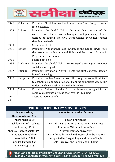

| 1928  | Calcutta | President: Motilal Nehru. The first all India Youth Congress came |
|-------|----------|-------------------------------------------------------------------|
|       |          | into existence.                                                   |
| 1923  | Lahore   | President: Jawaharlal Nehru. Declared that the aim of the         |
|       |          | congress was Puma Swaraj (complete independence). It was          |
|       |          | decided to launch the civil Disobedience Movement under           |
|       |          | Gandhi's leadership                                               |
| 1930  |          | Session not held                                                  |
| 1931  | Karachi  | President: Vallabhbhai Patel. Endorsed the Gandhi-Irwin Pact;     |
|       |          | the resolution on Fundamental Rights and the national Economic    |
|       |          | Programme was passed.                                             |
| 1935  |          | Session not held                                                  |
| 1936  | Lucknow  | President: Jawaharlal Nehru. Nehru urged the congress to adopt    |
|       |          | socialism as its goal.                                            |
| 1937  | Faizpur  | President: Jawaharlal Nehru. It was the first congress session    |
|       |          | hosted in a village.                                              |
| 1938  | Haripura | President: Subhas Chandra Bose. The Congress committed itself     |
|       |          | to economic planning; a National Planning committee was set up    |
|       |          | under the chairmanship of Jawaharlal Nehru.                       |
| 1939  | Tripuri  | President: Subhas Chandra Bose. He, however, resigned in the      |
|       |          | same year; Rajendra Prasad took over as President.                |
| 1941- |          | Sessions were not held.                                           |
| 45    |          |                                                                   |

| THE REVOLUTIONARY MOVEMENTS         |                                                    |  |  |  |
|-------------------------------------|----------------------------------------------------|--|--|--|
| Organisation/                       | Name Associated with them                          |  |  |  |
| <b>Movements and Year</b>           |                                                    |  |  |  |
| Mitra Mela; 1899                    | Savarkar brothers                                  |  |  |  |
| Anushilan Samiti(in Calcutta        | Barindra Kumar Ghosh; Jatindranath Banerjee;       |  |  |  |
| and Dacca), 1902                    | Pramotha Mitter and Pulin Das                      |  |  |  |
| <b>Abhinav Bharat Society; 1904</b> | Vinayak Damodar Savarkar                           |  |  |  |
| Hindustan Republican                | Sanchindranath Sanyal and Jogsen Chandra Chatterji |  |  |  |
| Association; 1924                   | supported by Bhagat Singh and Udham Singh          |  |  |  |
| Ghadar Party(in San                 | Lala Hardayal and Sohan Singh Bhakna               |  |  |  |
| Francisco); 1913                    |                                                    |  |  |  |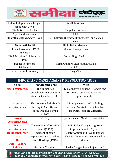

| Indian Independence League   | Ras Behari Bose                                 |
|------------------------------|-------------------------------------------------|
| (in Japan); 1942             |                                                 |
| Hindu Dharma Sabha           | Chapekar brothers                               |
| Arya Bandhav Samaj           | Tilak                                           |
| Bharatha Matha Society; 1904 | J.M. Chatterji; Nikantha Brahmachari and Vanchi |
|                              | Aryan                                           |
| Atmonnati Samiti             | Bipin Behari Gangauli                           |
| Bhikaji Movement; 1902       | Madam Bhikaji Cama                              |
| onwards                      |                                                 |
| Hind Associated of America;  | Sohan Singh Bhakna                              |
| 1913                         |                                                 |
| <b>Bengal Volunteers</b>     | Hema Chandra Ghose and Lita Nag                 |
| Sri Sangha                   | Anil Roy                                        |
| Indian Republican Army       | Surya Sen                                       |

| <b>IMPORTANT CASES AGAINST REVOLUTIONARIES</b>                       |                            |                                     |  |  |
|----------------------------------------------------------------------|----------------------------|-------------------------------------|--|--|
| Case                                                                 | <b>Reason and Year</b>     | <b>Result</b>                       |  |  |
| <b>Nasik conspiracy</b>                                              | The unjustified            | 37 youths were caught, 3 hanged and |  |  |
| case                                                                 | punishment meted out to    | rest were sentenced to various      |  |  |
|                                                                      | Ganesh Savarkar (1909-     | punishments.                        |  |  |
|                                                                      | 10)                        |                                     |  |  |
| <b>Alipore</b>                                                       | The police raided a bomb   | 37 people were tried including      |  |  |
| conspiracy case                                                      | factory in Calcutta and    | Barindar Aurvindo, Hemchandra,      |  |  |
|                                                                      | recovered live bombs       | Ullas Dutta, Upendra, Benarjee.     |  |  |
|                                                                      | (1908)                     |                                     |  |  |
| <b>Howrah</b>                                                        | (1910)                     | Jatindra n ath Mukherjee was tried. |  |  |
| <b>Conspiracy case</b>                                               |                            |                                     |  |  |
| <b>Dacca</b>                                                         | The member of Anusilan     | Pulin Behari Das gets rigorous      |  |  |
| conspiracy case                                                      | Samiti(1910)               | imprisonment for 7 years            |  |  |
| <b>Delhi conspiracy</b>                                              | Incident of bomb           | Master Amirchand, Avadh Behari,     |  |  |
| case                                                                 | explosion aimed at killing | Bhai Bal Mukund was sentenced to    |  |  |
| <b>Or</b>                                                            | Lord Hardinge(1915)        | death.                              |  |  |
| <b>Delhi - Lahore</b>                                                |                            |                                     |  |  |
| <b>Lahore</b>                                                        | <b>Murder of Saunders</b>  | Sardar Bhagat Singh, Rajguru and    |  |  |
| Naou Danis of India, Dhoolhagh Charuaha, Curaliau, Dhi 0754, 1069769 |                            |                                     |  |  |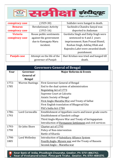

| conspiracy case    | $(1929-30)$                   | Sukhdev were hanged to death.          |
|--------------------|-------------------------------|----------------------------------------|
| <b>Benaras</b>     | <b>Revolutionary Activity</b> | Sachindra Chandra Sanyal was           |
| conspiracy case    | $(1915-16)$                   | deported to Andaman                    |
| <b>Victoria</b>    | Rouse public sentiments       | Gurdutta Singh and Dalip Singh were    |
| conspiracy case    | against the government        | sentenced to 4 and 2 years             |
|                    | due to Kamagata Maru          | imprisonment. Ram Prasad Bismil,       |
|                    | incident.                     | Roshan Singh, Ashfaq Ullah and         |
|                    |                               | Rajendra Lahri were awarded death      |
|                    |                               | punishment.                            |
| <b>Punjab case</b> | Attempt on the life of the    | Hari Krishan was tried and hanged till |
|                    | governor of Punjab            | death.                                 |

| <b>Governors-General of Bengal</b> |                        |                                                          |  |
|------------------------------------|------------------------|----------------------------------------------------------|--|
| Year                               | Governor-              | <b>Major Reforms &amp; Events</b>                        |  |
|                                    | <b>General of</b>      |                                                          |  |
|                                    | <b>Bengal</b>          |                                                          |  |
| 1772-                              | <b>Warren Hastings</b> | First Governor-General of Bengal                         |  |
| 1785                               |                        | End to the dual system of administration                 |  |
|                                    |                        | <b>Regulating Act of 1773</b>                            |  |
|                                    |                        | Supreme Court at Calcutta                                |  |
|                                    |                        | <b>Asiatic Society of Bengal</b>                         |  |
|                                    |                        | <b>First Anglo-Maratha War and Treaty of Salbai</b>      |  |
|                                    |                        | First English translation of Bhagavad Gita               |  |
|                                    |                        | Pitt's India Act-1784                                    |  |
| 1786-                              | <b>Lord Cornwallis</b> | Establishment of Appellate courts and lower grade courts |  |
| 1793                               |                        | Establishment of Sanskrit college                        |  |
|                                    |                        | Third Anglo-Mysore War and Treaty of Seringapatam        |  |
|                                    |                        | Introduction of Permanent Settlement and civil services  |  |
| 1793-                              | Sir John Shore         | <b>Charter act of 1793</b>                               |  |
| 1798                               |                        | Policy of Non-intervention                               |  |
|                                    |                        | Battle of Kharda                                         |  |
| 1798-                              | Lord Wellesley         | Introduction of Subsidiary Alliance System               |  |
| 1805                               |                        | Fourth Anglo- Mysore war and the Treaty of Bassein       |  |
|                                    |                        | <u> Second Anglo - Maratha war</u>                       |  |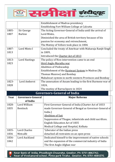

|       |                          | <b>Establishment of Madras presidency</b>                   |  |
|-------|--------------------------|-------------------------------------------------------------|--|
|       |                          | Establishing Fort William College at Calcutta               |  |
| 1805- | Sir George               | The Acting Governor-General of India until the arrival of   |  |
| 1807  | <b>Barlow</b>            | Lord Minto,                                                 |  |
|       |                          | Diminished the area of British territory because of his     |  |
|       |                          | passion for economy and retrenchment,                       |  |
|       |                          | The Mutiny of Vellore took place in 1806                    |  |
| 1807- | Lord Minto I             | Concluded the treaty of Amritsar with Maharaja Ranjit Singh |  |
| 1813  |                          | in 1809,                                                    |  |
|       |                          | Introduced the Charter Act of 1813                          |  |
| 1813- | Lord Hastings            | The policy of Non-intervention came to an end               |  |
| 1823  |                          | third Anglo-Maratha war                                     |  |
|       |                          | <b>Abolition of Peshwaship</b>                              |  |
|       |                          | Establishment of the Ryotwari System in Madras (By          |  |
|       |                          | Thomas Munroe) and Bombay                                   |  |
|       |                          | Mahalwari system in north-western Provinces and Bombay      |  |
| 1823- | <b>Lord Amherst</b>      | The annexation of Assam leading to the first Burmese war of |  |
| 1828  |                          | 1824,                                                       |  |
|       |                          | The mutiny of Barrackpore in 1824                           |  |
|       |                          |                                                             |  |
|       |                          | <b>Governors-General of India</b>                           |  |
| Year  | <b>Governors-General</b> | <b>Major Reforms</b>                                        |  |
|       | of India                 |                                                             |  |
| 1828- | Lord William             | First Governor-General of India (Charter Act of 1833        |  |
| 1835  | <b>Bentinck</b>          | made Governor-General of Bengal as Governor-General of      |  |
|       |                          | India.)                                                     |  |
|       |                          | <b>Abolition of Sati</b>                                    |  |
|       |                          | Suppression of Thugee, infanticide and child sacrifices.    |  |
|       |                          | English Education Act of 1835                               |  |
|       |                          | Medical College and Hospital, Kolkata                       |  |
| 1835- | <b>Lord Charles</b>      | 'Liberator of the Indian press                              |  |
| 1836  | Metcalfe                 | detached all restraints on an open press                    |  |
| 1836- | Lord Auckland            | Dedicated himself to the improvement of native schools      |  |
| 1842  |                          | and the expansion of the commercial industry of India       |  |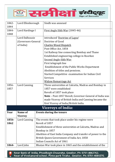

| 1842- | Lord Ellenborough     | Sindh was annexed                                            |  |
|-------|-----------------------|--------------------------------------------------------------|--|
| 1844  |                       |                                                              |  |
| 1844- | Lord Hardinge I       | First Anglo Sikh War (1845-46)                               |  |
| 1848  |                       |                                                              |  |
|       | <b>Lord Dalhousie</b> | introduced 'Doctrine of Lapse'                               |  |
|       | (Governors-General    | Doctrine of Good                                             |  |
|       | of India)             | <b>Charles Wood Dispatch</b>                                 |  |
|       |                       | Post Office Act, 1854                                        |  |
|       |                       | 1st Railway line connecting Bombay and Thane                 |  |
|       |                       | Established engineering college in Roorkee                   |  |
|       |                       | <b>Second Anglo-Sikh War</b>                                 |  |
|       |                       | First telegraph line                                         |  |
|       |                       | Establishment of the Public Works Department                 |  |
|       |                       | Abolition of titles and pensions.                            |  |
|       |                       | Started Competitive examination for Indian Civil             |  |
|       |                       | <b>Services</b>                                              |  |
|       |                       | <b>Widow Remarriage Act</b>                                  |  |
| 1856- | <b>Lord Canning</b>   | Three universities at Calcutta, Madras and Bombay in         |  |
| 1857  |                       | 1857 were established                                        |  |
|       |                       | Revolt of 1857 took place                                    |  |
|       |                       | Note - Post-1857 Revolt, Governor-General of India was       |  |
|       |                       | made Viceroy of British India and Canning became the         |  |
|       |                       | first Viceroy of India/British India.                        |  |
|       |                       | <b>Viceroys of India:</b>                                    |  |
| Year  | Name of               | <b>Events during the tenure</b>                              |  |
|       | <b>Viceroy</b>        |                                                              |  |
| 1856- | Lord Canning          | The events that took place under his regime were             |  |
| 1862  |                       | Revolt of 1857                                               |  |
|       |                       | Establishment of three universities at Calcutta, Madras and  |  |
|       |                       | Bombay in 1857                                               |  |
|       |                       | Abolition of East India Company and transfer of power to the |  |
|       |                       | British Queen Government of India Act, 1858                  |  |
|       |                       | Indian Councils Act of 1861                                  |  |
| 1864- | Lord John             | Bhutan War took place in 1865 and the establishment of the   |  |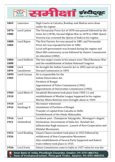

| 1869  | Lawrence      | High Courts at Calcutta, Bombay and Madras were done           |
|-------|---------------|----------------------------------------------------------------|
|       |               | under his regime                                               |
| 1876- | Lord Lytton   | The Vernacular Press Act of 1878 was passed followed by the    |
| 1880  |               | Arms Act (1878), Second Afghan War in 1878 to 1880. Queen      |
|       |               | Victoria was crowned the Queen of India in his regime.         |
| 1880- | Lord Ripon    | The first Factory Act was passed in 1881 and Vernacular        |
| 1884  |               | Press Act was repealed by him in 1882.                         |
|       |               | Local self-government was formed during his regime and         |
|       |               | Ilbert Bill controversy arose followed by Hunter Commission    |
|       |               | on education (1882)                                            |
| 1884- | Lord Dufferin | The two major events in his tenure were Third Burmese War      |
| 1888  |               | and the establishment of Indian National Congress              |
| 1888- | Lord          | He brought the Indian Councils Act in 1892 and set up the      |
| 1894  | Lansdowne     | Durand Commission in 1893                                      |
| 1899- | Lord Curzon   | He is responsible for the                                      |
| 1905  |               | <b>Indian Universities Act</b>                                 |
|       |               | <b>Partition of Bengal</b>                                     |
|       |               | Appointment of Police Commission (1902)                        |
|       |               | Appointment of Universities Commission (1902)                  |
| 1905- | Lord Minto II | Swadeshi Movement took place from 1905-11 and                  |
| 1910  |               | establishment of Muslim League happened in his regime.         |
|       |               | Morley-Minto Reforms were brought about in 1909.               |
| 1910- | Lord          | His tenure witnessed:                                          |
| 1916  | Hardinge II   | <b>Annulment of Partition of Bengal</b>                        |
|       |               | Transfer of capital from Calcutta to Delhi                     |
|       |               | Establishment of the Hindu Mahasabha                           |
| 1916- | Lord          | Lucknow pact, Champaran Satyagraha, Montague's August          |
| 1921  | Chelmsford    | Declaration, Government of India Act, Rowlatt Act,             |
|       |               | Jallianwalan Bagh massacre, Launch of Non-Cooperation and      |
|       |               | <b>Khilafat Movements</b>                                      |
| 1921- | Lord Reading  | Chauri Chaura incident took place in 1922 followed by          |
| 1926  |               | withdrawal of Non-Cooperation Movement.                        |
|       |               | Also establishment of Swaraj Party happened and Kakori         |
|       |               | train robbery took place in 1925.                              |
| 1926- | Lord Irwin    | Simon Commission came to India in 1927 when he was the         |
|       |               | Near Rank of India Phoolhagh Chauraha Gwalior Ph: 0751-4062762 |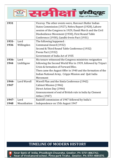

| 1931  |             | Viceroy. The other events were, Harcourt Butler Indian      |
|-------|-------------|-------------------------------------------------------------|
|       |             | States Commission (1927), Nehru Report (1928), Lahore       |
|       |             | session of the Congress in 1929, Dandi March and the Civil  |
|       |             | Disobedience Movement (1930), First Round Table             |
|       |             | Conference (1930), Gandhi-Irwin Pact (1931)                 |
| 1931- | Lord        | The following happened :                                    |
| 1936  | Willingdon  | Communal Award (1932)                                       |
|       |             | Second & Third Round Table Conference (1932)                |
|       |             | Poona Pact (1932)                                           |
|       |             | Government of India Act of 1935                             |
| 1936- | Lord        | His tenure witnessed the Congress ministries resignation    |
| 1944  | Linlithgow  | following the Second World War in 1939, followed by Tripuri |
|       |             | Crisis & formation of Forward Bloc.                         |
|       |             | Then came the August Offer in 1940 and the formation of the |
|       |             | Indian National Army, Cripps Mission and Quit India         |
|       |             | Movement                                                    |
| 1944- | Lord Wavell | Wavell Plan and the Simla Conference (1942)                 |
| 1947  |             | Cabinet Mission (1946)                                      |
|       |             | Direct Action Day (1946)                                    |
|       |             | Announcement of end of British rule in India by Clement     |
|       |             | Attlee (1947)                                               |
| 1947- | Lord        | Radcliff commission of 1947 followed by India's             |
| 1948  | Mountbatten | Independence on 15th August 1947                            |

## TIMELINE OF MODERN HISTORY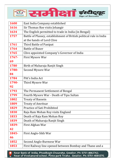

| 1600  | East India Company established                                      |
|-------|---------------------------------------------------------------------|
| 1616  | Sir Thomas Roe visits Jehangir                                      |
| 1634  | The English permitted to trade in India (in Bengal)                 |
| 1757  | Battle of Plassey, establishment of British political rule in India |
|       | at the hands of Lord Clive                                          |
| 1761  | Third Battle of Panipat                                             |
| 1764  | <b>Battle of Buxer</b>                                              |
| 1765  | Clive appointed Company's Governor of India                         |
| 1767- | First Mysore War                                                    |
| 69    |                                                                     |
| 1780  | Birth of Maharaja Ranjit Singh                                      |
| 1780- | Second Mysore War                                                   |
| 84    |                                                                     |
| 1784  | Pitt's India Act                                                    |
| 1790- | Third Mysore War                                                    |
| 92    |                                                                     |
| 1793  | The Permanent Settlement of Bengal                                  |
| 1799  | Fourth Mysore War - Death of Tipu Sultan                            |
| 1802  | <b>Treaty of Bassein</b>                                            |
| 1809  | <b>Treaty of Amritsar</b>                                           |
| 1829  | <b>Practice of Sati Prohibited</b>                                  |
| 1830  | Raja Ram Mohan Roy visits England                                   |
| 1833  | Death of Raja Ram Mohan Roy                                         |
| 1839  | Death of Maharaja Ranjit Singh                                      |
| 1839- | First Afghan War                                                    |
| 42    |                                                                     |
| 1845- | First Anglo-Sikh War                                                |
| 46    |                                                                     |
| 1852  | Second Anglo-Burmese War                                            |
| 1853  | First Railway line opened between Bombay and Thane and a            |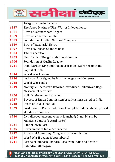

|             | Telegraph line in Calcutta                                     |
|-------------|----------------------------------------------------------------|
| 1857        | The Sepoy Mutiny of First War of Independence                  |
| 1861        | Birth of Rabindranath Tagore                                   |
| 1869        | Birth of Mahatma Gandhi                                        |
| 1885        | <b>Foundation of Indian National Congress</b>                  |
| 1889        | Birth of Jawaharlal Nehru                                      |
| 1897        | Birth of Subhash Chandra Bose                                  |
| 1904        | <b>Tibet Expedition</b>                                        |
| 1905        | First Battle of Bengal under Lord Curzon                       |
| 1906        | <b>Foundation of Muslim League</b>                             |
| 1911        | Delhi Darbar; King and Queen visit India; Delhi becomes the    |
|             | Capital of India                                               |
| 1914        | World War I begins                                             |
| 1916        | Lucknow Pact Signed by Muslim League and Congress              |
| 1918        | World War I ends                                               |
| 1919        | Montague-Chemsford Reforms introduced; Jallianwala Bagh        |
|             | <b>Massacre at Amritsar</b>                                    |
| 1920        | Khilafat Movement launched                                     |
| 1927        | Boycott of Simon Commission; broadcasting started in India     |
| 1928        | Death of Lala Lajpat Rai                                       |
| 1929        | Lord Irwain's Pact; resolution of complete independence passed |
|             | at Lahore Congress                                             |
| <b>1930</b> | Civil disobedience movement launched; Dandi March by           |
|             | Mahatma Gandhi (6 April, 1930)                                 |
| 1931        | Gandhi Irwin Pact                                              |
| 1935        | Government of India Act enacted                                |
| 1937        | Provincial Autonomy; Congress forms ministries                 |
| 1939        | Word War II begins (September 1)                               |
| 1941        | Escape of Subhash Chandra Bose from India and death of         |
|             | Rabindranath Tagore                                            |
|             |                                                                |